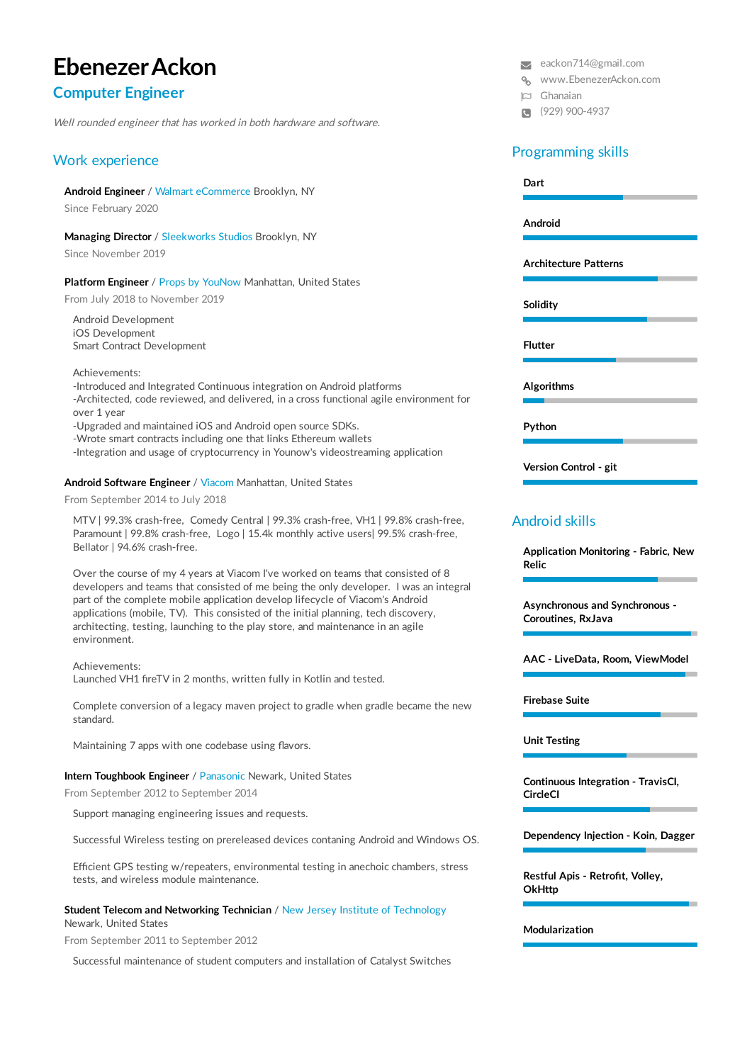# **EbenezerAckon**

# **Computer Engineer**

Well rounded engineer that has worked in both hardware and software.

# Work experience

**Android Engineer** / Walmart eCommerce Brooklyn, NY

Since February 2020

**Managing Director** / Sleekworks Studios Brooklyn, NY

Since November 2019

## **Platform Engineer** / Props by YouNow Manhattan, United States

From July 2018 to November 2019

Android Development iOS Development Smart Contract Development

Achievements:

-Introduced and Integrated Continuous integration on Android platforms -Architected, code reviewed, and delivered, in a cross functional agile environment for over 1 year

-Upgraded and maintained iOS and Android open source SDKs.

-Wrote smart contracts including one that links Ethereum wallets

-Integration and usage of cryptocurrency in Younow's videostreaming application

## **Android Software Engineer** / Viacom Manhattan, United States

From September 2014 to July 2018

MTV | 99.3% crash-free, Comedy Central | 99.3% crash-free, VH1 | 99.8% crash-free, Paramount | 99.8% crash-free, Logo | 15.4k monthly active users| 99.5% crash-free, Bellator | 94.6% crash-free.

Over the course of my 4 years at Viacom I've worked on teams that consisted of 8 developers and teams that consisted of me being the only developer. I was an integral part of the complete mobile application develop lifecycle of Viacom's Android applications (mobile, TV). This consisted of the initial planning, tech discovery, architecting, testing, launching to the play store, and maintenance in an agile environment.

Achievements:

Launched VH1 fireTV in 2 months, written fully in Kotlin and tested.

Complete conversion of a legacy maven project to gradle when gradle became the new standard.

Maintaining 7 apps with one codebase using flavors.

### **Intern Toughbook Engineer** / Panasonic Newark, United States

From September 2012 to September 2014

Support managing engineering issues and requests.

Successful Wireless testing on prereleased devices contaning Android and Windows OS.

Efficient GPS testing w/repeaters, environmental testing in anechoic chambers, stress tests, and wireless module maintenance.

#### **Student Telecom and Networking Technician** / New Jersey Institute of Technology Newark, United States

From September 2011 to September 2012

Successful maintenance of student computers and installation of Catalyst Switches

[eackon714@gmail.com](mailto:eackon714@gmail.com)

% www.EbenezerAckon.com

- Ghanaian
- (929) 900-4937

# Programming skills

| Dart           |                              |  |
|----------------|------------------------------|--|
| Android        |                              |  |
|                | <b>Architecture Patterns</b> |  |
| Solidity       |                              |  |
| <b>Flutter</b> |                              |  |
| Algorithms     |                              |  |
|                |                              |  |

**Version Control - git**

# Android skills

**Application Monitoring - Fabric, New Relic**

**Asynchronous and Synchronous - Coroutines, RxJava**

**AAC - LiveData, Room, ViewModel**

**Firebase Suite**

**Unit Testing**

**Continuous Integration - TravisCI, CircleCI**

**Dependency Injection - Koin, Dagger**

**Restful Apis - Retrofit, Volley, OkHttp**

**Modularization**